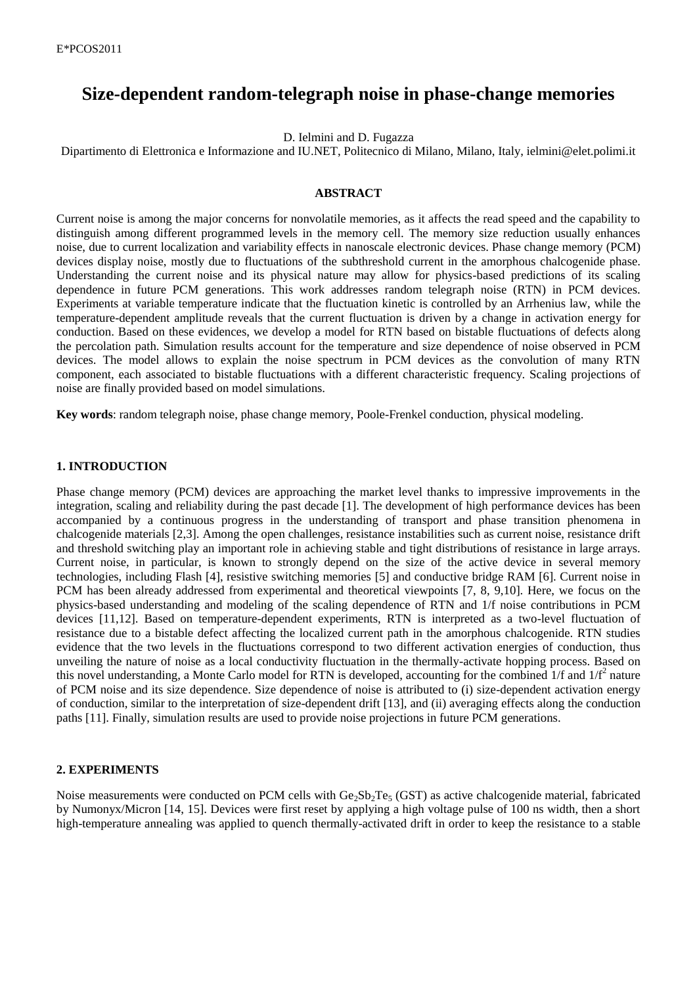# **Size-dependent random-telegraph noise in phase-change memories**

D. Ielmini and D. Fugazza

Dipartimento di Elettronica e Informazione and IU.NET, Politecnico di Milano, Milano, Italy, ielmini@elet.polimi.it

### **ABSTRACT**

Current noise is among the major concerns for nonvolatile memories, as it affects the read speed and the capability to distinguish among different programmed levels in the memory cell. The memory size reduction usually enhances noise, due to current localization and variability effects in nanoscale electronic devices. Phase change memory (PCM) devices display noise, mostly due to fluctuations of the subthreshold current in the amorphous chalcogenide phase. Understanding the current noise and its physical nature may allow for physics-based predictions of its scaling dependence in future PCM generations. This work addresses random telegraph noise (RTN) in PCM devices. Experiments at variable temperature indicate that the fluctuation kinetic is controlled by an Arrhenius law, while the temperature-dependent amplitude reveals that the current fluctuation is driven by a change in activation energy for conduction. Based on these evidences, we develop a model for RTN based on bistable fluctuations of defects along the percolation path. Simulation results account for the temperature and size dependence of noise observed in PCM devices. The model allows to explain the noise spectrum in PCM devices as the convolution of many RTN component, each associated to bistable fluctuations with a different characteristic frequency. Scaling projections of noise are finally provided based on model simulations.

**Key words**: random telegraph noise, phase change memory, Poole-Frenkel conduction, physical modeling.

### **1. INTRODUCTION**

Phase change memory (PCM) devices are approaching the market level thanks to impressive improvements in the integration, scaling and reliability during the past decade [1]. The development of high performance devices has been accompanied by a continuous progress in the understanding of transport and phase transition phenomena in chalcogenide materials [2,3]. Among the open challenges, resistance instabilities such as current noise, resistance drift and threshold switching play an important role in achieving stable and tight distributions of resistance in large arrays. Current noise, in particular, is known to strongly depend on the size of the active device in several memory technologies, including Flash [4], resistive switching memories [5] and conductive bridge RAM [6]. Current noise in PCM has been already addressed from experimental and theoretical viewpoints [7, 8, 9,10]. Here, we focus on the physics-based understanding and modeling of the scaling dependence of RTN and 1/f noise contributions in PCM devices [11,12]. Based on temperature-dependent experiments, RTN is interpreted as a two-level fluctuation of resistance due to a bistable defect affecting the localized current path in the amorphous chalcogenide. RTN studies evidence that the two levels in the fluctuations correspond to two different activation energies of conduction, thus unveiling the nature of noise as a local conductivity fluctuation in the thermally-activate hopping process. Based on this novel understanding, a Monte Carlo model for RTN is developed, accounting for the combined  $1/f$  and  $1/f<sup>2</sup>$  nature of PCM noise and its size dependence. Size dependence of noise is attributed to (i) size-dependent activation energy of conduction, similar to the interpretation of size-dependent drift [13], and (ii) averaging effects along the conduction paths [11]. Finally, simulation results are used to provide noise projections in future PCM generations.

### **2. EXPERIMENTS**

Noise measurements were conducted on PCM cells with  $Ge_2Sb_2Te_5$  (GST) as active chalcogenide material, fabricated by Numonyx/Micron [14, 15]. Devices were first reset by applying a high voltage pulse of 100 ns width, then a short high-temperature annealing was applied to quench thermally-activated drift in order to keep the resistance to a stable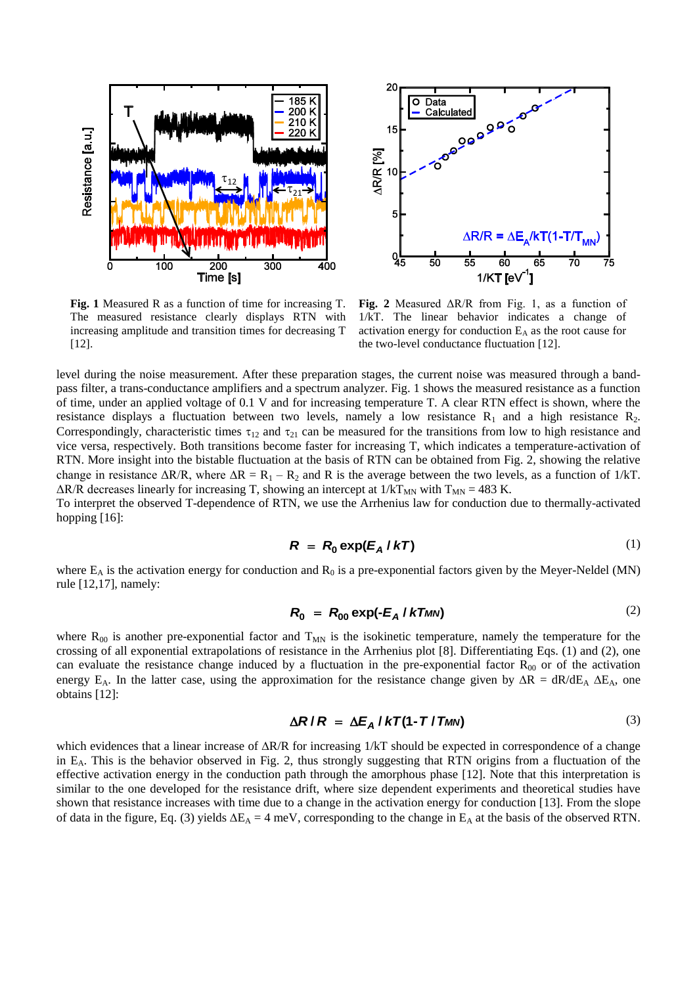



**Fig. 1** Measured R as a function of time for increasing T. The measured resistance clearly displays RTN with increasing amplitude and transition times for decreasing T [12].

**Fig. 2** Measured ΔR/R from Fig. 1, as a function of 1/kT. The linear behavior indicates a change of activation energy for conduction  $E_A$  as the root cause for the two-level conductance fluctuation [12].

level during the noise measurement. After these preparation stages, the current noise was measured through a bandpass filter, a trans-conductance amplifiers and a spectrum analyzer. Fig. 1 shows the measured resistance as a function of time, under an applied voltage of 0.1 V and for increasing temperature T. A clear RTN effect is shown, where the resistance displays a fluctuation between two levels, namely a low resistance  $R_1$  and a high resistance  $R_2$ . Correspondingly, characteristic times  $\tau_{12}$  and  $\tau_{21}$  can be measured for the transitions from low to high resistance and vice versa, respectively. Both transitions become faster for increasing T, which indicates a temperature-activation of RTN. More insight into the bistable fluctuation at the basis of RTN can be obtained from Fig. 2, showing the relative change in resistance  $\Delta R/R$ , where  $\Delta R = R_1 - R_2$  and R is the average between the two levels, as a function of 1/kT.  $\Delta$ R/R decreases linearly for increasing T, showing an intercept at  $1/kT_{MN}$  with  $T_{MN} = 483$  K.

To interpret the observed T-dependence of RTN, we use the Arrhenius law for conduction due to thermally-activated hopping [16]:

$$
R = R_0 \exp(E_A / kT)
$$
 (1)

where  $E_A$  is the activation energy for conduction and  $R_0$  is a pre-exponential factors given by the Meyer-Neldel (MN) rule [12,17], namely:

$$
R_0 = R_{00} \exp(-E_A / kT_{MN})
$$
 (2)

where  $R_{00}$  is another pre-exponential factor and  $T_{MN}$  is the isokinetic temperature, namely the temperature for the crossing of all exponential extrapolations of resistance in the Arrhenius plot [8]. Differentiating Eqs. (1) and (2), one can evaluate the resistance change induced by a fluctuation in the pre-exponential factor  $R_{00}$  or of the activation energy E<sub>A</sub>. In the latter case, using the approximation for the resistance change given by  $\Delta R = dR/dE_A \Delta E_A$ , one obtains [12]:

$$
\Delta R/R = \Delta E_A / kT (1 - T / T_{MN})
$$
 (3)

which evidences that a linear increase of  $\Delta R/R$  for increasing  $1/kT$  should be expected in correspondence of a change in EA. This is the behavior observed in Fig. 2, thus strongly suggesting that RTN origins from a fluctuation of the effective activation energy in the conduction path through the amorphous phase [12]. Note that this interpretation is similar to the one developed for the resistance drift, where size dependent experiments and theoretical studies have shown that resistance increases with time due to a change in the activation energy for conduction [13]. From the slope of data in the figure, Eq. (3) yields  $\Delta E_A = 4$  meV, corresponding to the change in  $E_A$  at the basis of the observed RTN.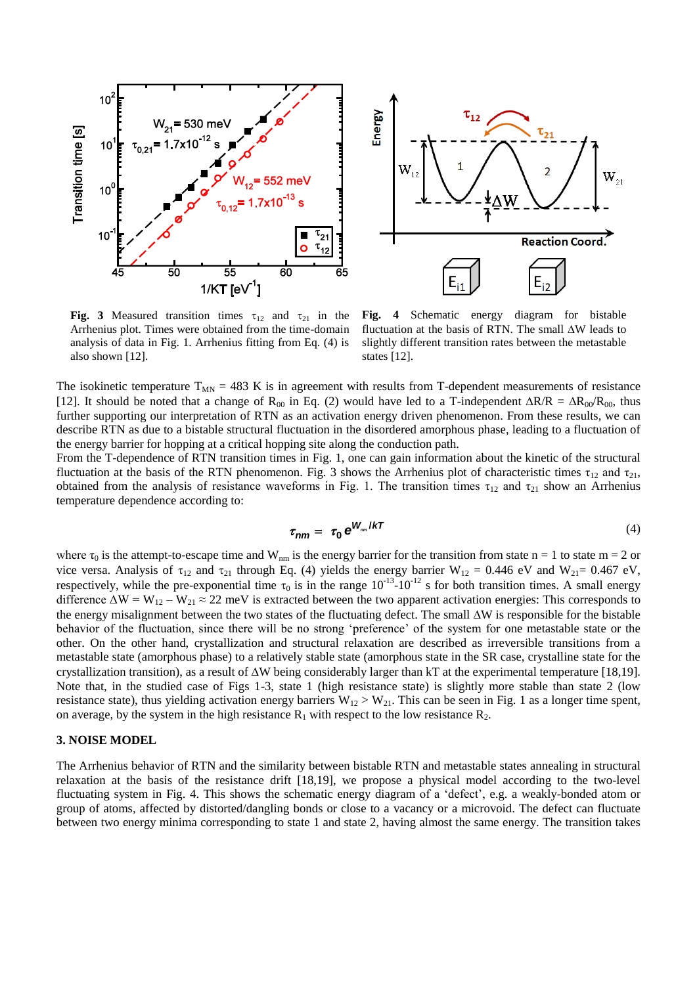



**Fig. 3** Measured transition times  $\tau_{12}$  and  $\tau_{21}$  in the Arrhenius plot. Times were obtained from the time-domain analysis of data in Fig. 1. Arrhenius fitting from Eq. (4) is also shown [12].

**Fig. 4** Schematic energy diagram for bistable fluctuation at the basis of RTN. The small  $\Delta W$  leads to slightly different transition rates between the metastable states [12].

The isokinetic temperature  $T_{MN} = 483$  K is in agreement with results from T-dependent measurements of resistance [12]. It should be noted that a change of R<sub>00</sub> in Eq. (2) would have led to a T-independent  $\Delta R/R = \Delta R_{00}R_{00}$ , thus further supporting our interpretation of RTN as an activation energy driven phenomenon. From these results, we can describe RTN as due to a bistable structural fluctuation in the disordered amorphous phase, leading to a fluctuation of the energy barrier for hopping at a critical hopping site along the conduction path.

From the T-dependence of RTN transition times in Fig. 1, one can gain information about the kinetic of the structural fluctuation at the basis of the RTN phenomenon. Fig. 3 shows the Arrhenius plot of characteristic times  $\tau_{12}$  and  $\tau_{21}$ , obtained from the analysis of resistance waveforms in Fig. 1. The transition times  $\tau_{12}$  and  $\tau_{21}$  show an Arrhenius temperature dependence according to:

$$
\tau_{nm} = \tau_0 e^{W_{nm}/kT} \tag{4}
$$

where  $\tau_0$  is the attempt-to-escape time and W<sub>nm</sub> is the energy barrier for the transition from state n = 1 to state m = 2 or vice versa. Analysis of  $\tau_{12}$  and  $\tau_{21}$  through Eq. (4) yields the energy barrier W<sub>12</sub> = 0.446 eV and W<sub>21</sub>= 0.467 eV, respectively, while the pre-exponential time  $\tau_0$  is in the range  $10^{-13}$ - $10^{-12}$  s for both transition times. A small energy difference  $\Delta W = W_{12} - W_{21} \approx 22$  meV is extracted between the two apparent activation energies: This corresponds to the energy misalignment between the two states of the fluctuating defect. The small  $\Delta W$  is responsible for the bistable behavior of the fluctuation, since there will be no strong 'preference' of the system for one metastable state or the other. On the other hand, crystallization and structural relaxation are described as irreversible transitions from a metastable state (amorphous phase) to a relatively stable state (amorphous state in the SR case, crystalline state for the crystallization transition), as a result of  $\Delta W$  being considerably larger than kT at the experimental temperature [18,19]. Note that, in the studied case of Figs 1-3, state 1 (high resistance state) is slightly more stable than state 2 (low resistance state), thus yielding activation energy barriers  $W_{12} > W_{21}$ . This can be seen in Fig. 1 as a longer time spent, on average, by the system in the high resistance  $R_1$  with respect to the low resistance  $R_2$ .

# **3. NOISE MODEL**

The Arrhenius behavior of RTN and the similarity between bistable RTN and metastable states annealing in structural relaxation at the basis of the resistance drift [18,19], we propose a physical model according to the two-level fluctuating system in Fig. 4. This shows the schematic energy diagram of a 'defect', e.g. a weakly-bonded atom or group of atoms, affected by distorted/dangling bonds or close to a vacancy or a microvoid. The defect can fluctuate between two energy minima corresponding to state 1 and state 2, having almost the same energy. The transition takes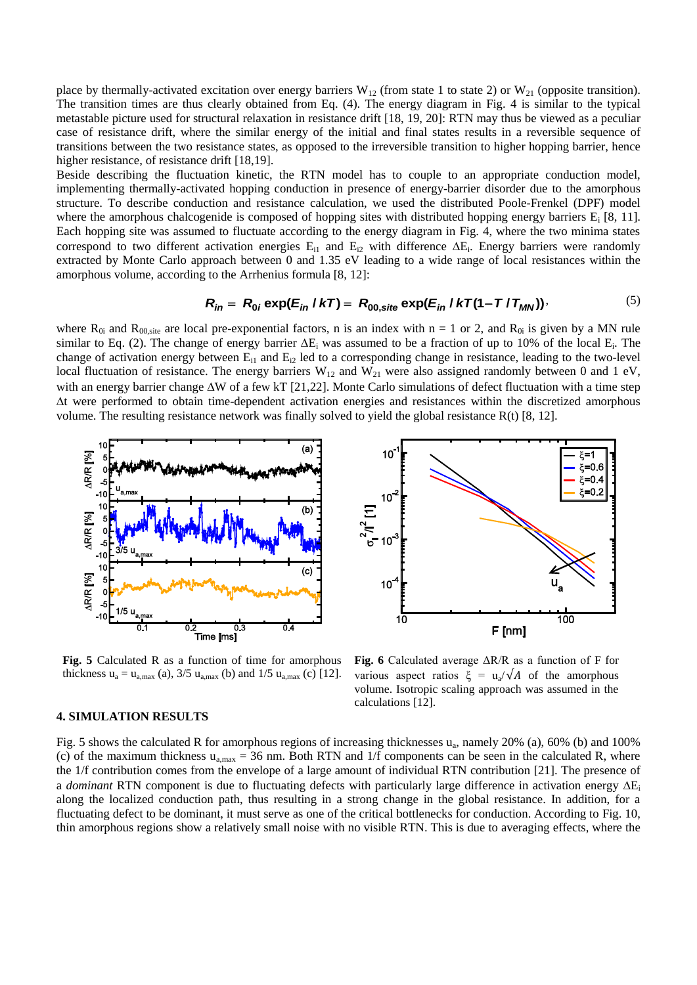place by thermally-activated excitation over energy barriers  $W_{12}$  (from state 1 to state 2) or  $W_{21}$  (opposite transition). The transition times are thus clearly obtained from Eq. (4). The energy diagram in Fig. 4 is similar to the typical metastable picture used for structural relaxation in resistance drift [18, 19, 20]: RTN may thus be viewed as a peculiar case of resistance drift, where the similar energy of the initial and final states results in a reversible sequence of transitions between the two resistance states, as opposed to the irreversible transition to higher hopping barrier, hence higher resistance, of resistance drift [18,19].

Beside describing the fluctuation kinetic, the RTN model has to couple to an appropriate conduction model, implementing thermally-activated hopping conduction in presence of energy-barrier disorder due to the amorphous structure. To describe conduction and resistance calculation, we used the distributed Poole-Frenkel (DPF) model where the amorphous chalcogenide is composed of hopping sites with distributed hopping energy barriers  $E_i$  [8, 11]. Each hopping site was assumed to fluctuate according to the energy diagram in Fig. 4, where the two minima states correspond to two different activation energies  $E_{i1}$  and  $E_{i2}$  with difference  $\Delta E_i$ . Energy barriers were randomly extracted by Monte Carlo approach between 0 and 1.35 eV leading to a wide range of local resistances within the amorphous volume, according to the Arrhenius formula [8, 12]:<br>  $R_{in} = R_{0i} \exp(E_{in} / kT) = R_{00, site} \exp(E_{in} / kT (1 - T / T_{MN$ amorphous volume, according to the Arrhenius formula [8, 12]:

$$
R_{in} = R_{0i} \exp(E_{in} / kT) = R_{00 \text{, site}} \exp(E_{in} / kT(1 - T / T_{MN}))
$$
 (5)

where  $R_{0i}$  and  $R_{00,\text{site}}$  are local pre-exponential factors, n is an index with n = 1 or 2, and  $R_{0i}$  is given by a MN rule similar to Eq. (2). The change of energy barrier  $\Delta E_i$  was assumed to be a fraction of up to 10% of the local  $E_i$ . The change of activation energy between  $E_{i1}$  and  $E_{i2}$  led to a corresponding change in resistance, leading to the two-level local fluctuation of resistance. The energy barriers  $W_{12}$  and  $W_{21}$  were also assigned randomly between 0 and 1 eV, with an energy barrier change  $\Delta W$  of a few kT [21,22]. Monte Carlo simulations of defect fluctuation with a time step t were performed to obtain time-dependent activation energies and resistances within the discretized amorphous volume. The resulting resistance network was finally solved to yield the global resistance R(t) [8, 12].



**Fig. 5** Calculated R as a function of time for amorphous thickness  $u_a = u_{a, max}$  (a), 3/5  $u_{a, max}$  (b) and 1/5  $u_{a, max}$  (c) [12].



**Fig. 6** Calculated average ΔR/R as a function of F for various aspect ratios  $\xi = u_a / \sqrt{A}$  of the amorphous volume. Isotropic scaling approach was assumed in the calculations [12].

#### **4. SIMULATION RESULTS**

Fig. 5 shows the calculated R for amorphous regions of increasing thicknesses  $u_a$ , namely 20% (a), 60% (b) and 100% (c) of the maximum thickness  $u_{a,max} = 36$  nm. Both RTN and 1/f components can be seen in the calculated R, where the 1/f contribution comes from the envelope of a large amount of individual RTN contribution [21]. The presence of a *dominant* RTN component is due to fluctuating defects with particularly large difference in activation energy  $\Delta E_i$ along the localized conduction path, thus resulting in a strong change in the global resistance. In addition, for a fluctuating defect to be dominant, it must serve as one of the critical bottlenecks for conduction. According to Fig. 10, thin amorphous regions show a relatively small noise with no visible RTN. This is due to averaging effects, where the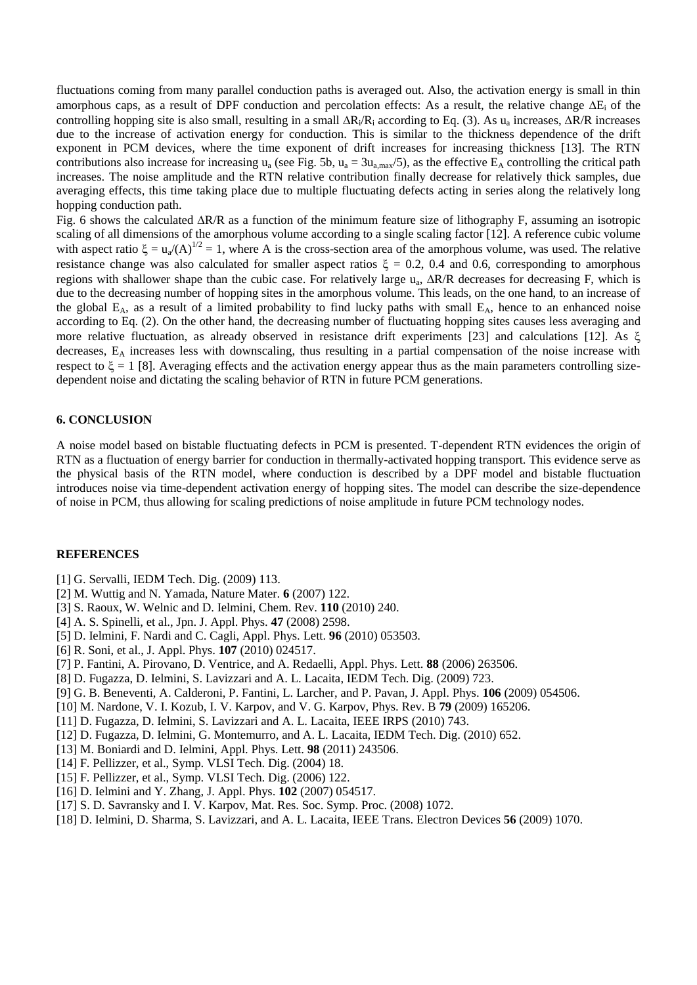fluctuations coming from many parallel conduction paths is averaged out. Also, the activation energy is small in thin amorphous caps, as a result of DPF conduction and percolation effects: As a result, the relative change  $\Delta E_i$  of the controlling hopping site is also small, resulting in a small  $\Delta R_i/R_i$  according to Eq. (3). As  $u_a$  increases,  $\Delta R/R$  increases due to the increase of activation energy for conduction. This is similar to the thickness dependence of the drift exponent in PCM devices, where the time exponent of drift increases for increasing thickness [13]. The RTN contributions also increase for increasing  $u_a$  (see Fig. 5b,  $u_a = 3u_{a,max}/5$ ), as the effective  $E_A$  controlling the critical path increases. The noise amplitude and the RTN relative contribution finally decrease for relatively thick samples, due averaging effects, this time taking place due to multiple fluctuating defects acting in series along the relatively long hopping conduction path.

Fig. 6 shows the calculated R/R as a function of the minimum feature size of lithography F, assuming an isotropic scaling of all dimensions of the amorphous volume according to a single scaling factor [12]. A reference cubic volume with aspect ratio  $\xi = u_a/(A)^{1/2} = 1$ , where A is the cross-section area of the amorphous volume, was used. The relative resistance change was also calculated for smaller aspect ratios  $\xi = 0.2$ , 0.4 and 0.6, corresponding to amorphous regions with shallower shape than the cubic case. For relatively large  $u_a$ ,  $\Delta R/R$  decreases for decreasing F, which is due to the decreasing number of hopping sites in the amorphous volume. This leads, on the one hand, to an increase of the global  $E_A$ , as a result of a limited probability to find lucky paths with small  $E_A$ , hence to an enhanced noise according to Eq. (2). On the other hand, the decreasing number of fluctuating hopping sites causes less averaging and more relative fluctuation, as already observed in resistance drift experiments [23] and calculations [12]. As ξ decreases, E<sup>A</sup> increases less with downscaling, thus resulting in a partial compensation of the noise increase with respect to  $\xi = 1$  [8]. Averaging effects and the activation energy appear thus as the main parameters controlling sizedependent noise and dictating the scaling behavior of RTN in future PCM generations.

## **6. CONCLUSION**

A noise model based on bistable fluctuating defects in PCM is presented. T-dependent RTN evidences the origin of RTN as a fluctuation of energy barrier for conduction in thermally-activated hopping transport. This evidence serve as the physical basis of the RTN model, where conduction is described by a DPF model and bistable fluctuation introduces noise via time-dependent activation energy of hopping sites. The model can describe the size-dependence of noise in PCM, thus allowing for scaling predictions of noise amplitude in future PCM technology nodes.

#### **REFERENCES**

- [1] G. Servalli, IEDM Tech. Dig. (2009) 113.
- [2] M. Wuttig and N. Yamada, Nature Mater. **6** (2007) 122.
- [3] S. Raoux, W. Welnic and D. Ielmini, Chem. Rev. **110** (2010) 240.
- [4] A. S. Spinelli, et al., Jpn. J. Appl. Phys. **47** (2008) 2598.
- [5] D. Ielmini, F. Nardi and C. Cagli, Appl. Phys. Lett. **96** (2010) 053503.
- [6] R. Soni, et al., J. Appl. Phys. **107** (2010) 024517.
- [7] P. Fantini, A. Pirovano, D. Ventrice, and A. Redaelli, Appl. Phys. Lett. **88** (2006) 263506.
- [8] D. Fugazza, D. Ielmini, S. Lavizzari and A. L. Lacaita, IEDM Tech. Dig. (2009) 723.
- [9] G. B. Beneventi, A. Calderoni, P. Fantini, L. Larcher, and P. Pavan, J. Appl. Phys. **106** (2009) 054506.
- [10] M. Nardone, V. I. Kozub, I. V. Karpov, and V. G. Karpov, Phys. Rev. B **79** (2009) 165206.
- [11] D. Fugazza, D. Ielmini, S. Lavizzari and A. L. Lacaita, IEEE IRPS (2010) 743.
- [12] D. Fugazza, D. Ielmini, G. Montemurro, and A. L. Lacaita, IEDM Tech. Dig. (2010) 652.
- [13] M. Boniardi and D. Ielmini, Appl. Phys. Lett. **98** (2011) 243506.
- [14] F. Pellizzer, et al., Symp. VLSI Tech. Dig. (2004) 18.
- [15] F. Pellizzer, et al., Symp. VLSI Tech. Dig. (2006) 122.
- [16] D. Ielmini and Y. Zhang, J. Appl. Phys. **102** (2007) 054517.
- [17] S. D. Savransky and I. V. Karpov, Mat. Res. Soc. Symp. Proc. (2008) 1072.
- [18] D. Ielmini, D. Sharma, S. Lavizzari, and A. L. Lacaita, IEEE Trans. Electron Devices **56** (2009) 1070.